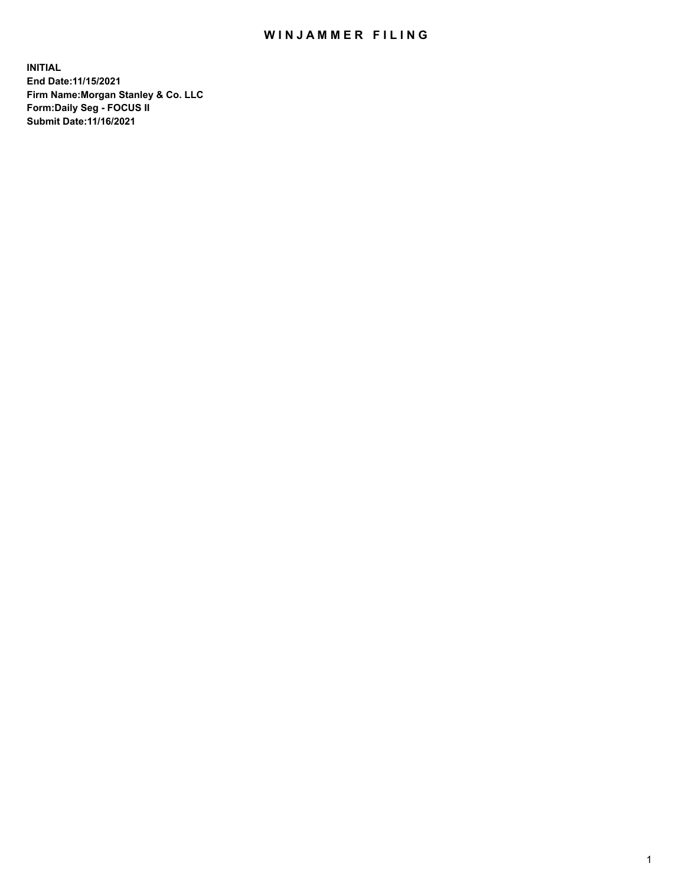## WIN JAMMER FILING

**INITIAL End Date:11/15/2021 Firm Name:Morgan Stanley & Co. LLC Form:Daily Seg - FOCUS II Submit Date:11/16/2021**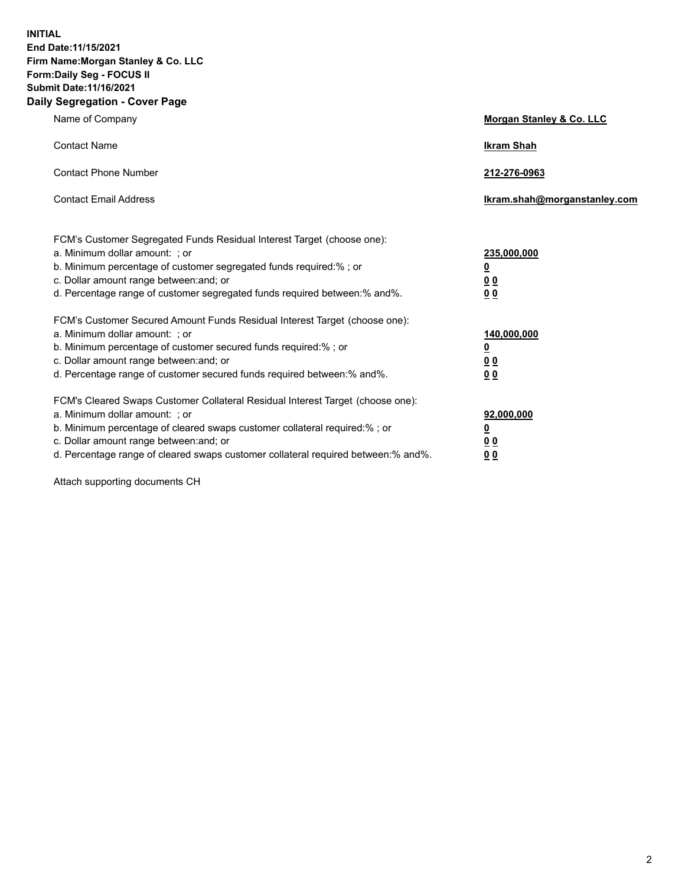**INITIAL End Date:11/15/2021 Firm Name:Morgan Stanley & Co. LLC Form:Daily Seg - FOCUS II Submit Date:11/16/2021 Daily Segregation - Cover Page**

| Name of Company                                                                                                                                                                                                                                                                                                                | Morgan Stanley & Co. LLC                                |
|--------------------------------------------------------------------------------------------------------------------------------------------------------------------------------------------------------------------------------------------------------------------------------------------------------------------------------|---------------------------------------------------------|
| <b>Contact Name</b>                                                                                                                                                                                                                                                                                                            | <b>Ikram Shah</b>                                       |
| <b>Contact Phone Number</b>                                                                                                                                                                                                                                                                                                    | 212-276-0963                                            |
| <b>Contact Email Address</b>                                                                                                                                                                                                                                                                                                   | Ikram.shah@morganstanley.com                            |
| FCM's Customer Segregated Funds Residual Interest Target (choose one):<br>a. Minimum dollar amount: ; or<br>b. Minimum percentage of customer segregated funds required:% ; or<br>c. Dollar amount range between: and; or<br>d. Percentage range of customer segregated funds required between:% and%.                         | 235,000,000<br><u>0</u><br>0 <sup>0</sup><br>00         |
| FCM's Customer Secured Amount Funds Residual Interest Target (choose one):<br>a. Minimum dollar amount: ; or<br>b. Minimum percentage of customer secured funds required:%; or<br>c. Dollar amount range between: and; or<br>d. Percentage range of customer secured funds required between:% and%.                            | 140,000,000<br><u>0</u><br><u>0 0</u><br>0 <sub>0</sub> |
| FCM's Cleared Swaps Customer Collateral Residual Interest Target (choose one):<br>a. Minimum dollar amount: ; or<br>b. Minimum percentage of cleared swaps customer collateral required:% ; or<br>c. Dollar amount range between: and; or<br>d. Percentage range of cleared swaps customer collateral required between:% and%. | 92,000,000<br><u>0</u><br><u>00</u><br>0 <sub>0</sub>   |

Attach supporting documents CH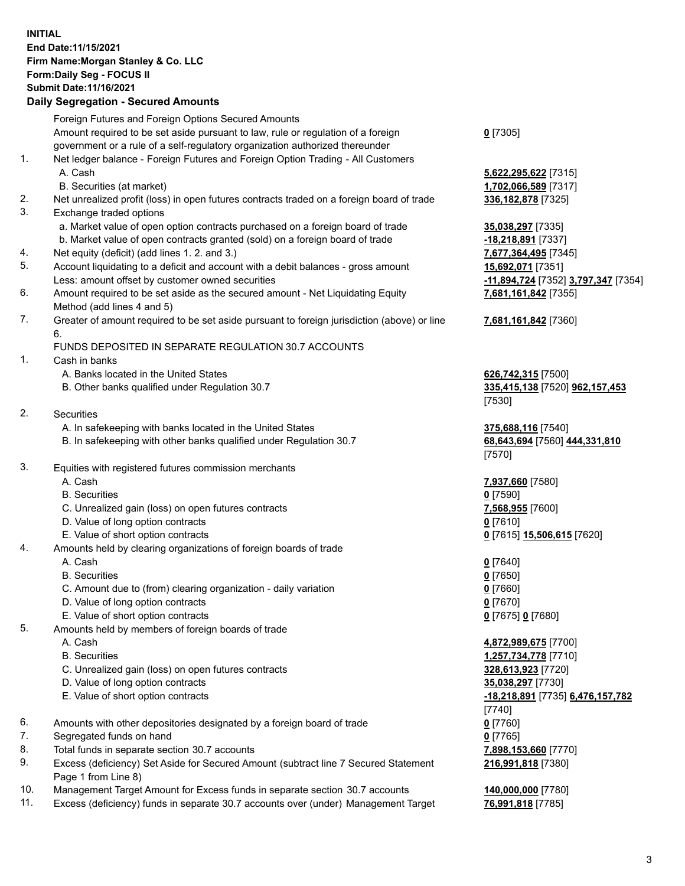## **INITIAL End Date:11/15/2021 Firm Name:Morgan Stanley & Co. LLC Form:Daily Seg - FOCUS II Submit Date:11/16/2021**

## **Daily Segregation - Secured Amounts**

Foreign Futures and Foreign Options Secured Amounts Amount required to be set aside pursuant to law, rule or regulation of a foreign government or a rule of a self-regulatory organization authorized thereunder 1. Net ledger balance - Foreign Futures and Foreign Option Trading - All Customers A. Cash **5,622,295,622** [7315] B. Securities (at market) **1,702,066,589** [7317] 2. Net unrealized profit (loss) in open futures contracts traded on a foreign board of trade **336,182,878** [7325] 3. Exchange traded options a. Market value of open option contracts purchased on a foreign board of trade **35,038,297** [7335] b. Market value of open contracts granted (sold) on a foreign board of trade **-18,218,891** [7337] 4. Net equity (deficit) (add lines 1. 2. and 3.) **7,677,364,495** [7345] 5. Account liquidating to a deficit and account with a debit balances - gross amount **15,692,071** [7351] Less: amount offset by customer owned securities **-11,894,724** [7352] **3,797,347** [7354] 6. Amount required to be set aside as the secured amount - Net Liquidating Equity Method (add lines 4 and 5) 7. Greater of amount required to be set aside pursuant to foreign jurisdiction (above) or line 6. FUNDS DEPOSITED IN SEPARATE REGULATION 30.7 ACCOUNTS 1. Cash in banks A. Banks located in the United States **626,742,315** [7500] B. Other banks qualified under Regulation 30.7 **335,415,138** [7520] **962,157,453** 2. Securities A. In safekeeping with banks located in the United States **375,688,116** [7540] B. In safekeeping with other banks qualified under Regulation 30.7 **68,643,694** [7560] **444,331,810** 3. Equities with registered futures commission merchants A. Cash **7,937,660** [7580] B. Securities **0** [7590] C. Unrealized gain (loss) on open futures contracts **7,568,955** [7600] D. Value of long option contracts **0** [7610] E. Value of short option contracts **0** [7615] **15,506,615** [7620] 4. Amounts held by clearing organizations of foreign boards of trade A. Cash **0** [7640] B. Securities **0** [7650] C. Amount due to (from) clearing organization - daily variation **0** [7660] D. Value of long option contracts **0** [7670] E. Value of short option contracts **0** [7675] **0** [7680] 5. Amounts held by members of foreign boards of trade A. Cash **4,872,989,675** [7700] B. Securities **1,257,734,778** [7710] C. Unrealized gain (loss) on open futures contracts **328,613,923** [7720] D. Value of long option contracts **35,038,297** [7730] E. Value of short option contracts **-18,218,891** [7735] **6,476,157,782** 6. Amounts with other depositories designated by a foreign board of trade **0** [7760] 7. Segregated funds on hand **0** [7765] 8. Total funds in separate section 30.7 accounts **7,898,153,660** [7770] 9. Excess (deficiency) Set Aside for Secured Amount (subtract line 7 Secured Statement Page 1 from Line 8)

10. Management Target Amount for Excess funds in separate section 30.7 accounts **140,000,000** [7780]

11. Excess (deficiency) funds in separate 30.7 accounts over (under) Management Target **76,991,818** [7785]

**0** [7305]

**7,681,161,842** [7355]

## **7,681,161,842** [7360]

[7530]

[7570]

[7740] **216,991,818** [7380]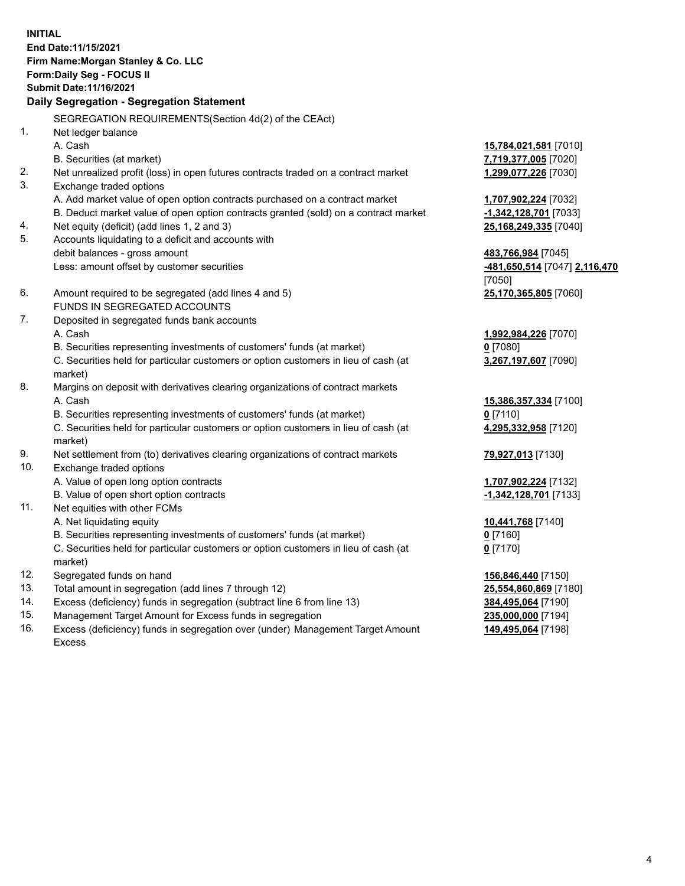**INITIAL End Date:11/15/2021 Firm Name:Morgan Stanley & Co. LLC Form:Daily Seg - FOCUS II Submit Date:11/16/2021 Daily Segregation - Segregation Statement** SEGREGATION REQUIREMENTS(Section 4d(2) of the CEAct) 1. Net ledger balance A. Cash **15,784,021,581** [7010] B. Securities (at market) **7,719,377,005** [7020] 2. Net unrealized profit (loss) in open futures contracts traded on a contract market **1,299,077,226** [7030] 3. Exchange traded options A. Add market value of open option contracts purchased on a contract market **1,707,902,224** [7032] B. Deduct market value of open option contracts granted (sold) on a contract market **-1,342,128,701** [7033] 4. Net equity (deficit) (add lines 1, 2 and 3) **25,168,249,335** [7040] 5. Accounts liquidating to a deficit and accounts with debit balances - gross amount **483,766,984** [7045] Less: amount offset by customer securities **-481,650,514** [7047] **2,116,470** [7050] 6. Amount required to be segregated (add lines 4 and 5) **25,170,365,805** [7060] FUNDS IN SEGREGATED ACCOUNTS 7. Deposited in segregated funds bank accounts A. Cash **1,992,984,226** [7070] B. Securities representing investments of customers' funds (at market) **0** [7080] C. Securities held for particular customers or option customers in lieu of cash (at market) **3,267,197,607** [7090] 8. Margins on deposit with derivatives clearing organizations of contract markets A. Cash **15,386,357,334** [7100] B. Securities representing investments of customers' funds (at market) **0** [7110] C. Securities held for particular customers or option customers in lieu of cash (at market) **4,295,332,958** [7120] 9. Net settlement from (to) derivatives clearing organizations of contract markets **79,927,013** [7130] 10. Exchange traded options A. Value of open long option contracts **1,707,902,224** [7132] B. Value of open short option contracts **-1,342,128,701** [7133] 11. Net equities with other FCMs A. Net liquidating equity **10,441,768** [7140] B. Securities representing investments of customers' funds (at market) **0** [7160] C. Securities held for particular customers or option customers in lieu of cash (at market) **0** [7170] 12. Segregated funds on hand **156,846,440** [7150] 13. Total amount in segregation (add lines 7 through 12) **25,554,860,869** [7180] 14. Excess (deficiency) funds in segregation (subtract line 6 from line 13) **384,495,064** [7190] 15. Management Target Amount for Excess funds in segregation **235,000,000** [7194]

16. Excess (deficiency) funds in segregation over (under) Management Target Amount Excess

**149,495,064** [7198]